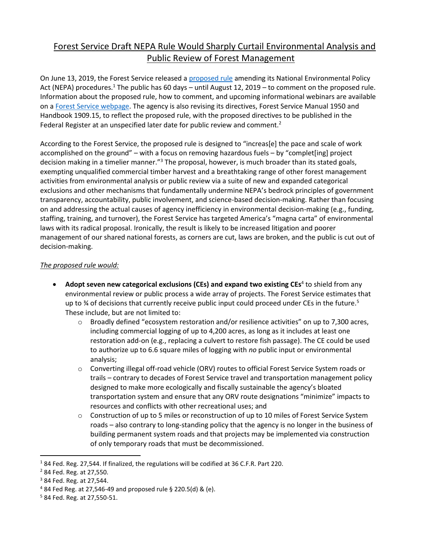## Forest Service Draft NEPA Rule Would Sharply Curtail Environmental Analysis and Public Review of Forest Management

On June 13, 2019, the Forest Service released a [proposed rule](https://www.federalregister.gov/documents/2019/06/13/2019-12195/national-environmental-policy-act-nepa-compliance) amending its National Environmental Policy Act (NEPA) procedures.<sup>1</sup> The public has 60 days – until August 12, 2019 – to comment on the proposed rule. Information about the proposed rule, how to comment, and upcoming informational webinars are available on [a Forest Service webpage.](https://www.fs.fed.us/emc/nepa/revisions/index.shtml) The agency is also revising its directives, Forest Service Manual 1950 and Handbook 1909.15, to reflect the proposed rule, with the proposed directives to be published in the Federal Register at an unspecified later date for public review and comment.<sup>2</sup>

According to the Forest Service, the proposed rule is designed to "increas[e] the pace and scale of work accomplished on the ground" – with a focus on removing hazardous fuels – by "complet[ing] project decision making in a timelier manner."<sup>3</sup> The proposal, however, is much broader than its stated goals, exempting unqualified commercial timber harvest and a breathtaking range of other forest management activities from environmental analysis or public review via a suite of new and expanded categorical exclusions and other mechanisms that fundamentally undermine NEPA's bedrock principles of government transparency, accountability, public involvement, and science-based decision-making. Rather than focusing on and addressing the actual causes of agency inefficiency in environmental decision-making (e.g., funding, staffing, training, and turnover), the Forest Service has targeted America's "magna carta" of environmental laws with its radical proposal. Ironically, the result is likely to be increased litigation and poorer management of our shared national forests, as corners are cut, laws are broken, and the public is cut out of decision-making.

## *The proposed rule would:*

- **Adopt seven new categorical exclusions (CEs) and expand two existing CEs**<sup>4</sup> to shield from any environmental review or public process a wide array of projects. The Forest Service estimates that up to  $\frac{3}{4}$  of decisions that currently receive public input could proceed under CEs in the future.<sup>5</sup> These include, but are not limited to:
	- o Broadly defined "ecosystem restoration and/or resilience activities" on up to 7,300 acres, including commercial logging of up to 4,200 acres, as long as it includes at least one restoration add-on (e.g., replacing a culvert to restore fish passage). The CE could be used to authorize up to 6.6 square miles of logging with *no* public input or environmental analysis;
	- o Converting illegal off-road vehicle (ORV) routes to official Forest Service System roads or trails – contrary to decades of Forest Service travel and transportation management policy designed to make more ecologically and fiscally sustainable the agency's bloated transportation system and ensure that any ORV route designations "minimize" impacts to resources and conflicts with other recreational uses; and
	- $\circ$  Construction of up to 5 miles or reconstruction of up to 10 miles of Forest Service System roads – also contrary to long-standing policy that the agency is no longer in the business of building permanent system roads and that projects may be implemented via construction of only temporary roads that must be decommissioned.

 $\overline{a}$ 

<sup>&</sup>lt;sup>1</sup> 84 Fed. Reg. 27,544. If finalized, the regulations will be codified at 36 C.F.R. Part 220.

<sup>2</sup> 84 Fed. Reg. at 27,550.

<sup>3</sup> 84 Fed. Reg. at 27,544.

 $484$  Fed Reg. at 27,546-49 and proposed rule § 220.5(d) & (e).

<sup>5</sup> 84 Fed. Reg. at 27,550-51.